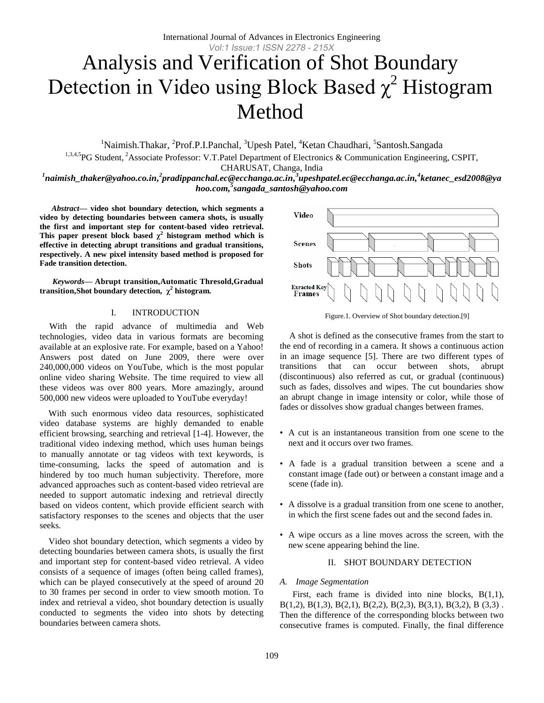# Analysis and Verification of Shot Boundary Detection in Video using Block Based  $\chi^2$  Histogram Method

<sup>1</sup>Naimish.Thakar, <sup>2</sup>Prof.P.I.Panchal, <sup>3</sup>Upesh Patel, <sup>4</sup>Ketan Chaudhari, <sup>5</sup>Santosh.Sangada

<sup>1,3,4,5</sup>PG Student, <sup>2</sup>Associate Professor: V.T.Patel Department of Electronics & Communication Engineering, CSPIT,

CHARUSAT, Changa, India

<sup>1</sup>naimish\_thaker@yahoo.co.in,<sup>2</sup>pradippanchal.ec@ecchanga.ac.in,<sup>3</sup>upeshpatel.ec@ecchanga.ac.in,<sup>4</sup>ketanec\_esd2008@ya *hoo.com, 5 sangada\_santosh@yahoo.com*

*Abstract***— video shot boundary detection, which segments a video by detecting boundaries between camera shots, is usually the first and important step for content-based video retrieval.**  This paper present block based  $\chi^2$  histogram method which is **effective in detecting abrupt transitions and gradual transitions, respectively. A new pixel intensity based method is proposed for Fade transition detection.** 

*Keywords—* **Abrupt transition,Automatic Thresold,Gradual transition,Shot boundary detection, χ 2 histogram.**

# I. INTRODUCTION

With the rapid advance of multimedia and Web technologies, video data in various formats are becoming available at an explosive rate. For example, based on a Yahoo! Answers post dated on June 2009, there were over 240,000,000 videos on YouTube, which is the most popular online video sharing Website. The time required to view all these videos was over 800 years. More amazingly, around 500,000 new videos were uploaded to YouTube everyday!

 With such enormous video data resources, sophisticated video database systems are highly demanded to enable efficient browsing, searching and retrieval [1-4]. However, the traditional video indexing method, which uses human beings to manually annotate or tag videos with text keywords, is time-consuming, lacks the speed of automation and is hindered by too much human subjectivity. Therefore, more advanced approaches such as content-based video retrieval are needed to support automatic indexing and retrieval directly based on videos content, which provide efficient search with satisfactory responses to the scenes and objects that the user seeks.

 Video shot boundary detection, which segments a video by detecting boundaries between camera shots, is usually the first and important step for content-based video retrieval. A video consists of a sequence of images (often being called frames), which can be played consecutively at the speed of around 20 to 30 frames per second in order to view smooth motion. To index and retrieval a video, shot boundary detection is usually conducted to segments the video into shots by detecting boundaries between camera shots.



Figure.1. Overview of Shot boundary detection.[9]

A shot is defined as the consecutive frames from the start to the end of recording in a camera. It shows a continuous action in an image sequence [5]. There are two different types of transitions that can occur between shots, abrupt (discontinuous) also referred as cut, or gradual (continuous) such as fades, dissolves and wipes. The cut boundaries show an abrupt change in image intensity or color, while those of fades or dissolves show gradual changes between frames.

- A cut is an instantaneous transition from one scene to the next and it occurs over two frames.
- A fade is a gradual transition between a scene and a constant image (fade out) or between a constant image and a scene (fade in).
- A dissolve is a gradual transition from one scene to another, in which the first scene fades out and the second fades in.
- A wipe occurs as a line moves across the screen, with the new scene appearing behind the line.

#### II. SHOT BOUNDARY DETECTION

#### *A. Image Segmentation*

First, each frame is divided into nine blocks, B(1,1), B(1,2), B(1,3), B(2,1), B(2,2), B(2,3), B(3,1), B(3,2), B (3,3) . Then the difference of the corresponding blocks between two consecutive frames is computed. Finally, the final difference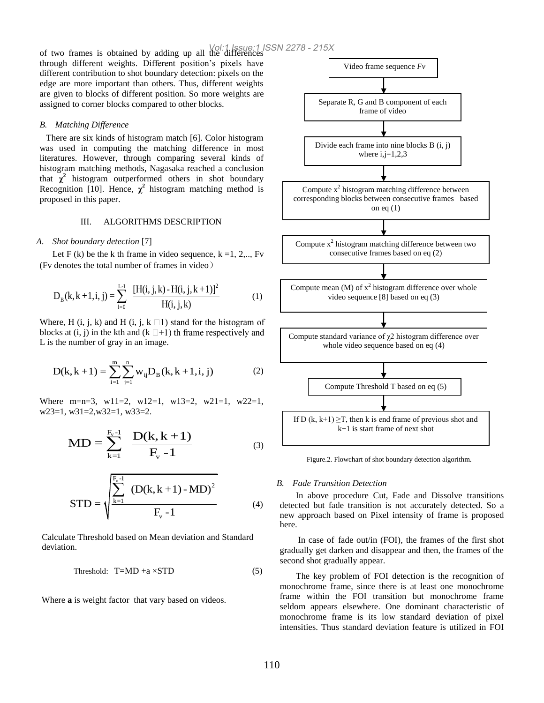of two frames is obtained by adding up all the differences Vol:1 Issue:1 ISSN 2278 - 215Xthrough different weights. Different position's pixels have different contribution to shot boundary detection: pixels on the edge are more important than others. Thus, different weights are given to blocks of different position. So more weights are assigned to corner blocks compared to other blocks.

## *B. Matching Difference*

There are six kinds of histogram match [6]. Color histogram was used in computing the matching difference in most literatures. However, through comparing several kinds of histogram matching methods, Nagasaka reached a conclusion that  $\chi^2$  histogram outperformed others in shot boundary Recognition [10]. Hence,  $\chi^2$  histogram matching method is proposed in this paper.

#### III. ALGORITHMS DESCRIPTION

### *A. Shot boundary detection* [7]

Let F (k) be the k th frame in video sequence,  $k = 1, 2, \dots$ , Fv (Fv denotes the total number of frames in video)

$$
D_{B}(k, k+1, i, j) = \sum_{i=0}^{L-1} \frac{[H(i, j, k) - H(i, j, k+1)]^{2}}{H(i, j, k)}
$$
(1)

Where, H (i, j, k) and H (i, j, k  $\Box$ 1) stand for the histogram of blocks at  $(i, j)$  in the kth and  $(k \Box + 1)$  th frame respectively and L is the number of gray in an image.

The number of gray in an image.  
\n
$$
D(k, k+1) = \sum_{i=1}^{m} \sum_{j=1}^{n} w_{ij} D_B(k, k+1, i, j)
$$
\n(2)

Where m=n=3,  $w11=2$ ,  $w12=1$ ,  $w13=2$ ,  $w21=1$ ,  $w22=1$ , w23=1, w31=2,w32=1, w33=2.

$$
MD = \sum_{k=1}^{F_v - 1} \frac{D(k, k+1)}{F_v - 1}
$$
 (3)

$$
STD = \sqrt{\frac{\sum_{k=1}^{F_v - 1} (D(k, k+1) - MD)^2}{F_v - 1}}
$$
 (4)

Calculate Threshold based on Mean deviation and Standard deviation.

$$
Threshold: T=MD + a \times STD \tag{5}
$$

Where **a** is weight factor that vary based on videos.



Figure.2. Flowchart of shot boundary detection algorithm.

#### *B. Fade Transition Detection*

In above procedure Cut, Fade and Dissolve transitions detected but fade transition is not accurately detected. So a new approach based on Pixel intensity of frame is proposed here.

In case of fade out/in (FOI), the frames of the first shot gradually get darken and disappear and then, the frames of the second shot gradually appear.

The key problem of FOI detection is the recognition of monochrome frame, since there is at least one monochrome frame within the FOI transition but monochrome frame seldom appears elsewhere. One dominant characteristic of monochrome frame is its low standard deviation of pixel intensities. Thus standard deviation feature is utilized in FOI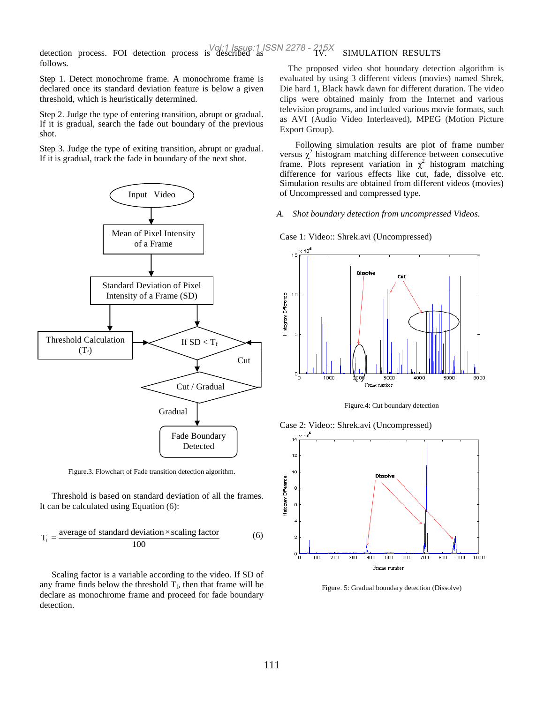detection process. FOI detection process is described as Vol:1 Issue:1 ISSN 2278 - 215Xfollows.

Step 1. Detect monochrome frame. A monochrome frame is declared once its standard deviation feature is below a given threshold, which is heuristically determined.

Step 2. Judge the type of entering transition, abrupt or gradual. If it is gradual, search the fade out boundary of the previous shot.

Step 3. Judge the type of exiting transition, abrupt or gradual. If it is gradual, track the fade in boundary of the next shot.



Figure.3. Flowchart of Fade transition detection algorithm.

Threshold is based on standard deviation of all the frames. It can be calculated using Equation (6):

$$
T_f = \frac{\text{average of standard deviation} \times \text{scaling factor}}{100} \tag{6}
$$

Scaling factor is a variable according to the video. If SD of any frame finds below the threshold  $T_f$ , then that frame will be declare as monochrome frame and proceed for fade boundary detection.

# SIMULATION RESULTS

The proposed video shot boundary detection algorithm is evaluated by using 3 different videos (movies) named Shrek, Die hard 1, Black hawk dawn for different duration. The video clips were obtained mainly from the Internet and various television programs, and included various movie formats, such as AVI (Audio Video Interleaved), MPEG (Motion Picture Export Group).

 Following simulation results are plot of frame number versus  $\chi^2$  histogram matching difference between consecutive frame. Plots represent variation in  $\chi^2$  histogram matching difference for various effects like cut, fade, dissolve etc. Simulation results are obtained from different videos (movies) of Uncompressed and compressed type.

#### *A. Shot boundary detection from uncompressed Videos.*

Case 1: Video:: Shrek.avi (Uncompressed)



Figure.4: Cut boundary detection

Case 2: Video:: Shrek.avi (Uncompressed)



Figure. 5: Gradual boundary detection (Dissolve)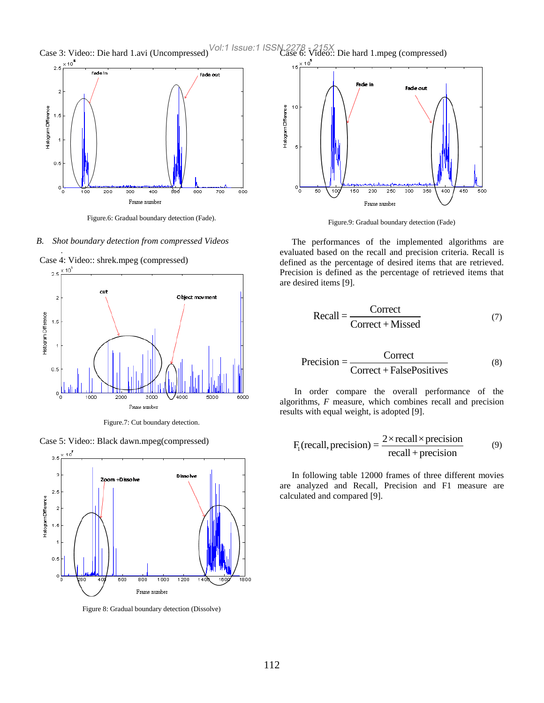Case 3: Video:: Die hard 1.avi (Uncompressed) Vol:1 Issue:1 ISSN 2278  $\frac{215X}{215}$  Die hard 1.mpeg (compressed)



Figure.6: Gradual boundary detection (Fade).

*B. Shot boundary detection from compressed Videos*

*.*



Figure.7: Cut boundary detection.

Case 5: Video:: Black dawn.mpeg(compressed)



Figure 8: Gradual boundary detection (Dissolve)



Figure.9: Gradual boundary detection (Fade)

The performances of the implemented algorithms are evaluated based on the recall and precision criteria. Recall is defined as the percentage of desired items that are retrieved. Precision is defined as the percentage of retrieved items that are desired items [9].

$$
Recall = \frac{Correct}{Correct + Missed}
$$
 (7)

$$
Precision = \frac{Correct}{Correct + FalsePositives}
$$
 (8)

In order compare the overall performance of the algorithms, *F* measure, which combines recall and precision results with equal weight, is adopted [9].

$$
F_1(\text{recall, precision}) = \frac{2 \times \text{recall} \times \text{precision}}{\text{recall} + \text{precision}}
$$
(9)

In following table 12000 frames of three different movies are analyzed and Recall, Precision and F1 measure are calculated and compared [9].